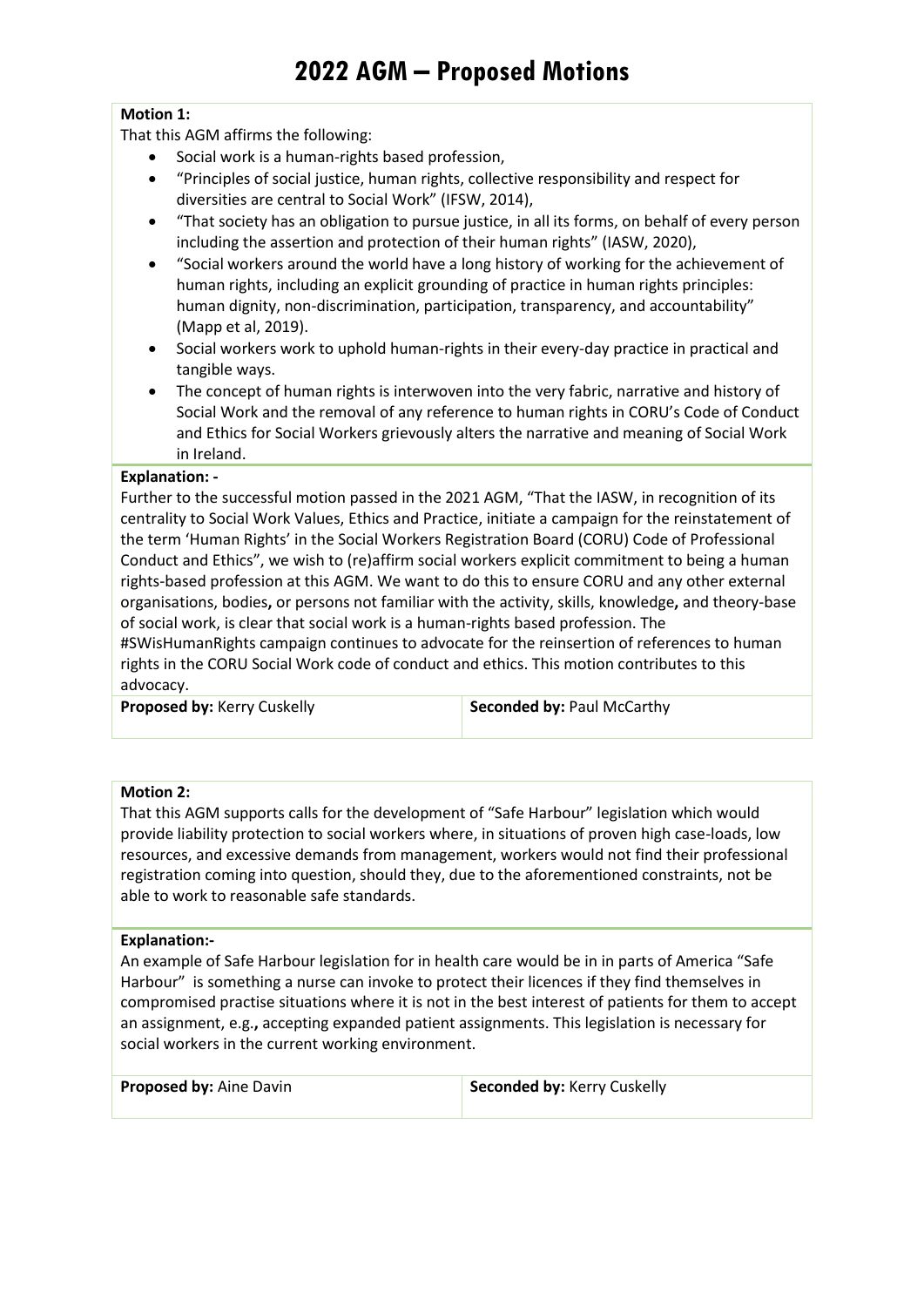# **Motion 1:**

That this AGM affirms the following:

- Social work is a human-rights based profession,
- "Principles of social justice, human rights, collective responsibility and respect for diversities are central to Social Work" (IFSW, 2014),
- "That society has an obligation to pursue justice, in all its forms, on behalf of every person including the assertion and protection of their human rights" (IASW, 2020),
- "Social workers around the world have a long history of working for the achievement of human rights, including an explicit grounding of practice in human rights principles: human dignity, non-discrimination, participation, transparency, and accountability" (Mapp et al, 2019).
- Social workers work to uphold human-rights in their every-day practice in practical and tangible ways.
- The concept of human rights is interwoven into the very fabric, narrative and history of Social Work and the removal of any reference to human rights in CORU's Code of Conduct and Ethics for Social Workers grievously alters the narrative and meaning of Social Work in Ireland.

#### **Explanation: -**

Further to the successful motion passed in the 2021 AGM, "That the IASW, in recognition of its centrality to Social Work Values, Ethics and Practice, initiate a campaign for the reinstatement of the term 'Human Rights' in the Social Workers Registration Board (CORU) Code of Professional Conduct and Ethics", we wish to (re)affirm social workers explicit commitment to being a human rights-based profession at this AGM. We want to do this to ensure CORU and any other external organisations, bodies**,** or persons not familiar with the activity, skills, knowledge**,** and theory-base of social work, is clear that social work is a human-rights based profession. The

#SWisHumanRights campaign continues to advocate for the reinsertion of references to human rights in the CORU Social Work code of conduct and ethics. This motion contributes to this advocacy.

| Proposed by: Kerry Cuskelly |  |
|-----------------------------|--|

**Seconded by: Paul McCarthy** 

## **Motion 2:**

That this AGM supports calls for the development of "Safe Harbour" legislation which would provide liability protection to social workers where, in situations of proven high case-loads, low resources, and excessive demands from management, workers would not find their professional registration coming into question, should they, due to the aforementioned constraints, not be able to work to reasonable safe standards.

#### **Explanation:-**

An example of Safe Harbour legislation for in health care would be in in parts of America "Safe Harbour" is something a nurse can invoke to protect their licences if they find themselves in compromised practise situations where it is not in the best interest of patients for them to accept an assignment, e.g.**,** accepting expanded patient assignments. This legislation is necessary for social workers in the current working environment.

**Proposed by:** Aine Davin **Seconded by: Kerry Cuskelly**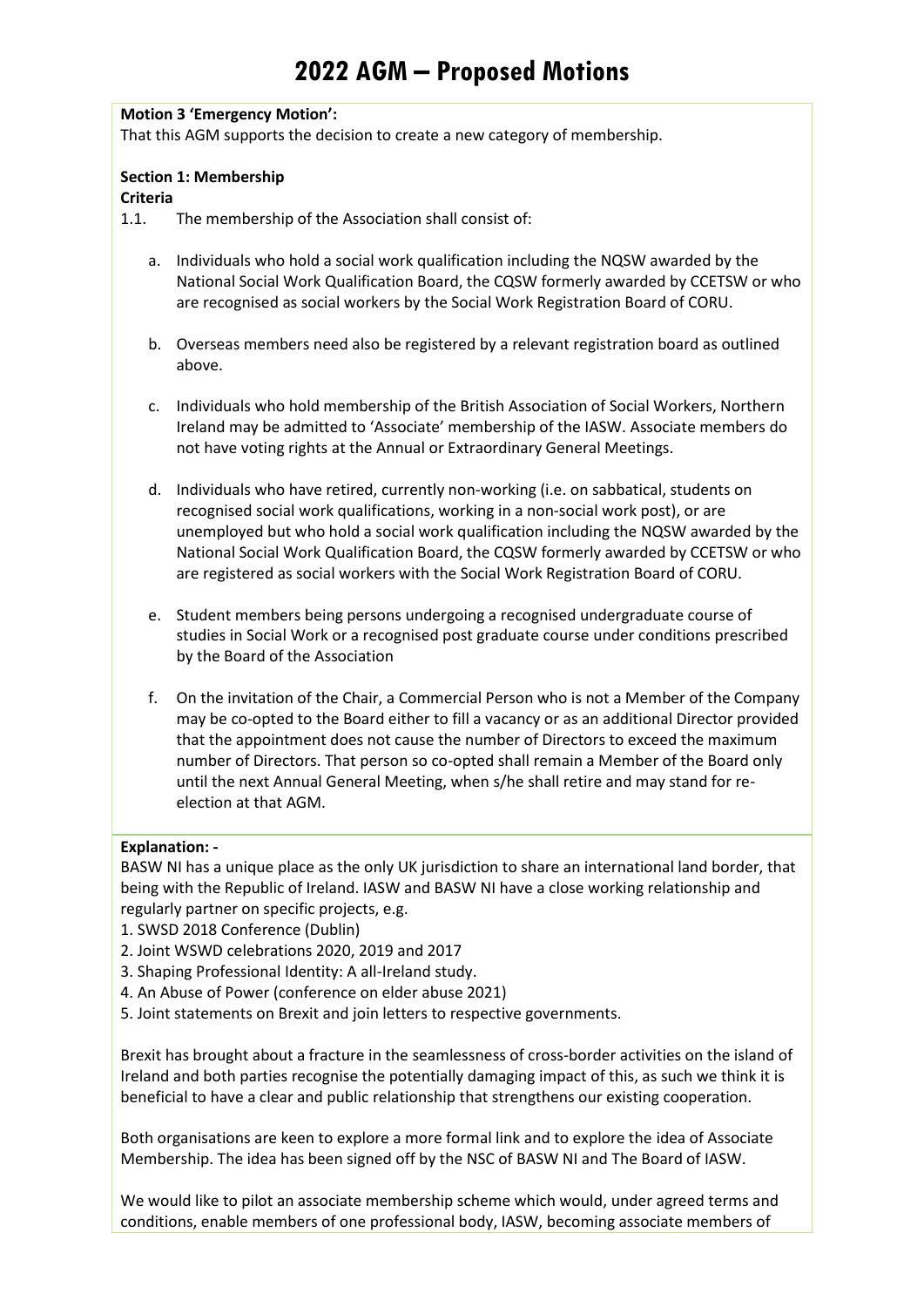# **2022 AGM – Proposed Motions**

#### **Motion 3 'Emergency Motion':**

That this AGM supports the decision to create a new category of membership.

## **Section 1: Membership**

#### **Criteria**

1.1. The membership of the Association shall consist of:

- a. Individuals who hold a social work qualification including the NQSW awarded by the National Social Work Qualification Board, the CQSW formerly awarded by CCETSW or who are recognised as social workers by the Social Work Registration Board of CORU.
- b. Overseas members need also be registered by a relevant registration board as outlined above.
- c. Individuals who hold membership of the British Association of Social Workers, Northern Ireland may be admitted to 'Associate' membership of the IASW. Associate members do not have voting rights at the Annual or Extraordinary General Meetings.
- d. Individuals who have retired, currently non-working (i.e. on sabbatical, students on recognised social work qualifications, working in a non-social work post), or are unemployed but who hold a social work qualification including the NQSW awarded by the National Social Work Qualification Board, the CQSW formerly awarded by CCETSW or who are registered as social workers with the Social Work Registration Board of CORU.
- e. Student members being persons undergoing a recognised undergraduate course of studies in Social Work or a recognised post graduate course under conditions prescribed by the Board of the Association
- f. On the invitation of the Chair, a Commercial Person who is not a Member of the Company may be co-opted to the Board either to fill a vacancy or as an additional Director provided that the appointment does not cause the number of Directors to exceed the maximum number of Directors. That person so co-opted shall remain a Member of the Board only until the next Annual General Meeting, when s/he shall retire and may stand for reelection at that AGM.

#### **Explanation: -**

BASW NI has a unique place as the only UK jurisdiction to share an international land border, that being with the Republic of Ireland. IASW and BASW NI have a close working relationship and regularly partner on specific projects, e.g.

- 1. SWSD 2018 Conference (Dublin)
- 2. Joint WSWD celebrations 2020, 2019 and 2017
- 3. Shaping Professional Identity: A all-Ireland study.
- 4. An Abuse of Power (conference on elder abuse 2021)
- 5. Joint statements on Brexit and join letters to respective governments.

Brexit has brought about a fracture in the seamlessness of cross-border activities on the island of Ireland and both parties recognise the potentially damaging impact of this, as such we think it is beneficial to have a clear and public relationship that strengthens our existing cooperation.

Both organisations are keen to explore a more formal link and to explore the idea of Associate Membership. The idea has been signed off by the NSC of BASW NI and The Board of IASW.

We would like to pilot an associate membership scheme which would, under agreed terms and conditions, enable members of one professional body, IASW, becoming associate members of